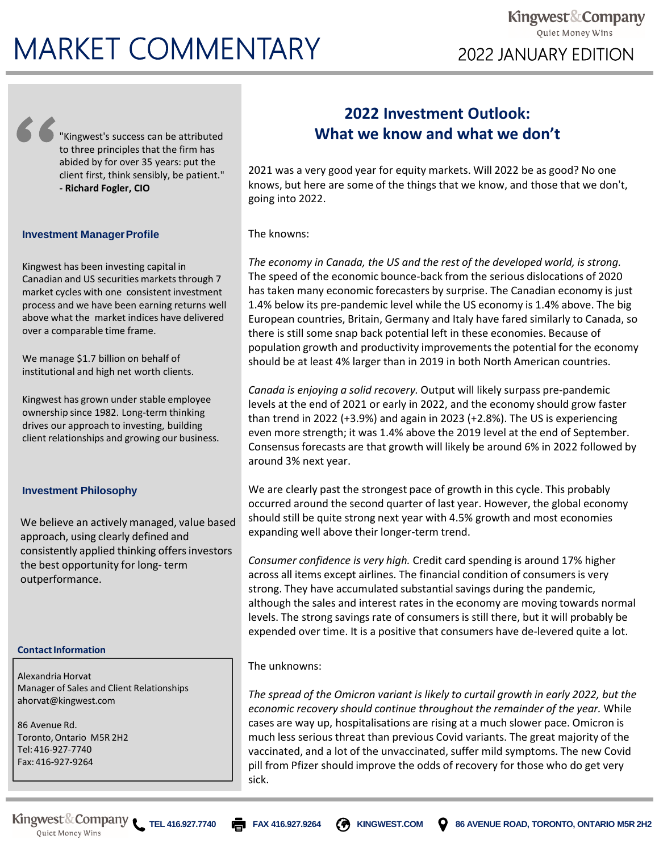# **MARKET COMMENTARY** 2022 JANUARY EDITION

"Kingwest's success can be attributed to three principles that the firm has abided by for over 35 years: put the client first, think sensibly, be patient." **- Richard Fogler, CIO** 

## **Investment Manager Profile**

Kingwest has been investing capital in Canadian and US securities markets through 7 market cycles with one consistent investment process and we have been earning returns well above what the market indices have delivered over a comparable time frame.

We manage \$1.7 billion on behalf of institutional and high net worth clients.

Kingwest has grown under stable employee ownership since 1982. Long-term thinking drives our approach to investing, building client relationships and growing our business.

#### **Investment Philosophy**

We believe an actively managed, value based approach, using clearly defined and consistently applied thinking offers investors the best opportunity for long- term outperformance.

#### **Contact Information**

Alexandria Horvat Manager of Sales and Client Relationships ahorvat@kingwest.com

86 Avenue Rd. Toronto, Ontario M5R 2H2 Tel: 416-927-7740 Fax: 416-927-9264

# **2022 Investment Outlook: What we know and what we don't**

2021 was a very good year for equity markets. Will 2022 be as good? No one knows, but here are some of the things that we know, and those that we don't, going into 2022.

The knowns:

*The economy in Canada, the US and the rest of the developed world, is strong.*  The speed of the economic bounce-back from the serious dislocations of 2020 has taken many economic forecasters by surprise. The Canadian economy is just 1.4% below its pre-pandemic level while the US economy is 1.4% above. The big European countries, Britain, Germany and Italy have fared similarly to Canada, so there is still some snap back potential left in these economies. Because of population growth and productivity improvements the potential for the economy should be at least 4% larger than in 2019 in both North American countries.

*Canada is enjoying a solid recovery.* Output will likely surpass pre-pandemic levels at the end of 2021 or early in 2022, and the economy should grow faster than trend in 2022 (+3.9%) and again in 2023 (+2.8%). The US is experiencing even more strength; it was 1.4% above the 2019 level at the end of September. Consensus forecasts are that growth will likely be around 6% in 2022 followed by around 3% next year.

We are clearly past the strongest pace of growth in this cycle. This probably occurred around the second quarter of last year. However, the global economy should still be quite strong next year with 4.5% growth and most economies expanding well above their longer-term trend.

*Consumer confidence is very high.* Credit card spending is around 17% higher across all items except airlines. The financial condition of consumers is very strong. They have accumulated substantial savings during the pandemic, although the sales and interest rates in the economy are moving towards normal levels. The strong savings rate of consumers is still there, but it will probably be expended over time. It is a positive that consumers have de-levered quite a lot.

### The unknowns:

*The spread of the Omicron variant is likely to curtail growth in early 2022, but the economic recovery should continue throughout the remainder of the year.* While cases are way up, hospitalisations are rising at a much slower pace. Omicron is much less serious threat than previous Covid variants. The great majority of the vaccinated, and a lot of the unvaccinated, suffer mild symptoms. The new Covid pill from Pfizer should improve the odds of recovery for those who do get very sick.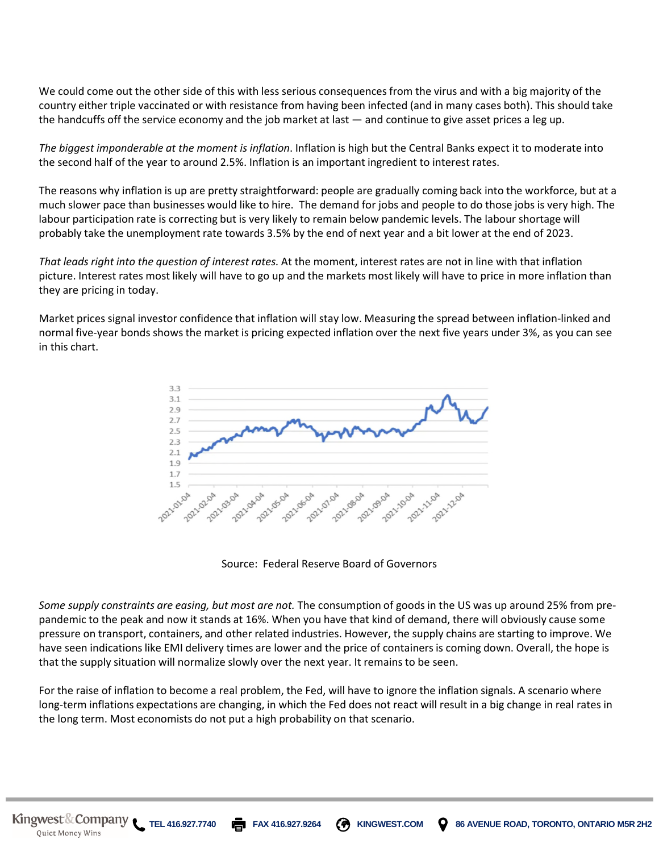We could come out the other side of this with less serious consequences from the virus and with a big majority of the country either triple vaccinated or with resistance from having been infected (and in many cases both). This should take the handcuffs off the service economy and the job market at last — and continue to give asset prices a leg up.

*The biggest imponderable at the moment is inflation*. Inflation is high but the Central Banks expect it to moderate into the second half of the year to around 2.5%. Inflation is an important ingredient to interest rates.

The reasons why inflation is up are pretty straightforward: people are gradually coming back into the workforce, but at a much slower pace than businesses would like to hire. The demand for jobs and people to do those jobs is very high. The labour participation rate is correcting but is very likely to remain below pandemic levels. The labour shortage will probably take the unemployment rate towards 3.5% by the end of next year and a bit lower at the end of 2023.

*That leads right into the question of interest rates.* At the moment, interest rates are not in line with that inflation picture. Interest rates most likely will have to go up and the markets most likely will have to price in more inflation than they are pricing in today.

Market prices signal investor confidence that inflation will stay low. Measuring the spread between inflation-linked and normal five-year bonds shows the market is pricing expected inflation over the next five years under 3%, as you can see in this chart.



Source: Federal Reserve Board of Governors

*Some supply constraints are easing, but most are not.* The consumption of goods in the US was up around 25% from prepandemic to the peak and now it stands at 16%. When you have that kind of demand, there will obviously cause some pressure on transport, containers, and other related industries. However, the supply chains are starting to improve. We have seen indications like EMI delivery times are lower and the price of containers is coming down. Overall, the hope is that the supply situation will normalize slowly over the next year. It remains to be seen.

For the raise of inflation to become a real problem, the Fed, will have to ignore the inflation signals. A scenario where long-term inflations expectations are changing, in which the Fed does not react will result in a big change in real rates in the long term. Most economists do not put a high probability on that scenario.

Quiet Money Wins